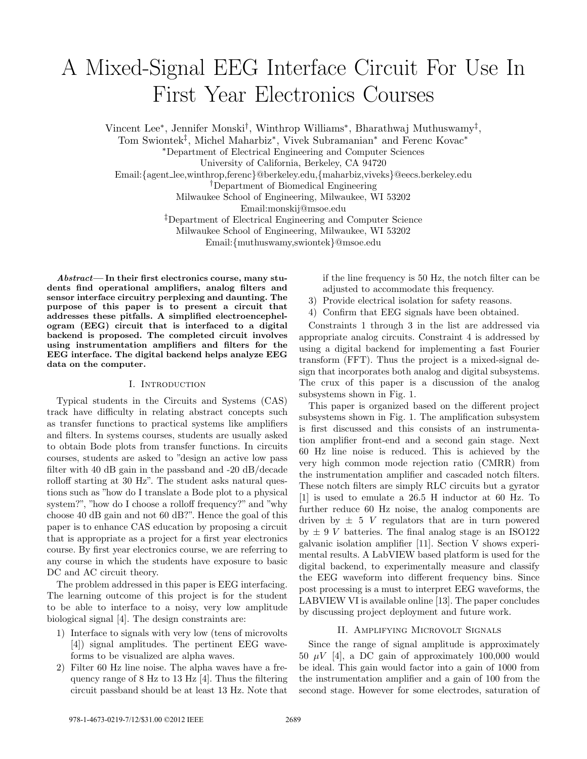# A Mixed-Signal EEG Interface Circuit For Use In First Year Electronics Courses

Vincent Lee<sup>∗</sup> , Jennifer Monski† , Winthrop Williams<sup>∗</sup> , Bharathwaj Muthuswamy‡ ,

Tom Swiontek<sup>‡</sup>, Michel Maharbiz<sup>\*</sup>, Vivek Subramanian<sup>\*</sup> and Ferenc Kovac<sup>\*</sup>

<sup>∗</sup>Department of Electrical Engineering and Computer Sciences

University of California, Berkeley, CA 94720

Email:{agent lee,winthrop,ferenc}@berkeley.edu,{maharbiz,viveks}@eecs.berkeley.edu

†Department of Biomedical Engineering

Milwaukee School of Engineering, Milwaukee, WI 53202

Email:monskij@msoe.edu

‡Department of Electrical Engineering and Computer Science

Milwaukee School of Engineering, Milwaukee, WI 53202

Email:{muthuswamy,swiontek}@msoe.edu

Abstract— In their first electronics course, many students find operational amplifiers, analog filters and sensor interface circuitry perplexing and daunting. The purpose of this paper is to present a circuit that addresses these pitfalls. A simplified electroencephelogram (EEG) circuit that is interfaced to a digital backend is proposed. The completed circuit involves using instrumentation amplifiers and filters for the EEG interface. The digital backend helps analyze EEG data on the computer.

# I. INTRODUCTION

Typical students in the Circuits and Systems (CAS) track have difficulty in relating abstract concepts such as transfer functions to practical systems like amplifiers and filters. In systems courses, students are usually asked to obtain Bode plots from transfer functions. In circuits courses, students are asked to "design an active low pass filter with 40 dB gain in the passband and -20 dB/decade rolloff starting at 30 Hz". The student asks natural questions such as "how do I translate a Bode plot to a physical system?", "how do I choose a rolloff frequency?" and "why choose 40 dB gain and not 60 dB?". Hence the goal of this paper is to enhance CAS education by proposing a circuit that is appropriate as a project for a first year electronics course. By first year electronics course, we are referring to any course in which the students have exposure to basic DC and AC circuit theory.

The problem addressed in this paper is EEG interfacing. The learning outcome of this project is for the student to be able to interface to a noisy, very low amplitude biological signal [4]. The design constraints are:

- 1) Interface to signals with very low (tens of microvolts [4]) signal amplitudes. The pertinent EEG waveforms to be visualized are alpha waves.
- 2) Filter 60 Hz line noise. The alpha waves have a frequency range of 8 Hz to 13 Hz [4]. Thus the filtering circuit passband should be at least 13 Hz. Note that

if the line frequency is 50 Hz, the notch filter can be adjusted to accommodate this frequency.

- 3) Provide electrical isolation for safety reasons.
- 4) Confirm that EEG signals have been obtained.

Constraints 1 through 3 in the list are addressed via appropriate analog circuits. Constraint 4 is addressed by using a digital backend for implementing a fast Fourier transform (FFT). Thus the project is a mixed-signal design that incorporates both analog and digital subsystems. The crux of this paper is a discussion of the analog subsystems shown in Fig. 1.

This paper is organized based on the different project subsystems shown in Fig. 1. The amplification subsystem is first discussed and this consists of an instrumentation amplifier front-end and a second gain stage. Next 60 Hz line noise is reduced. This is achieved by the very high common mode rejection ratio (CMRR) from the instrumentation amplifier and cascaded notch filters. These notch filters are simply RLC circuits but a gyrator [1] is used to emulate a 26.5 H inductor at 60 Hz. To further reduce 60 Hz noise, the analog components are driven by  $\pm$  5 V regulators that are in turn powered by  $\pm$  9 V batteries. The final analog stage is an ISO122 galvanic isolation amplifier [11]. Section V shows experimental results. A LabVIEW based platform is used for the digital backend, to experimentally measure and classify the EEG waveform into different frequency bins. Since post processing is a must to interpret EEG waveforms, the LABVIEW VI is available online [13]. The paper concludes by discussing project deployment and future work.

## II. Amplifying Microvolt Signals

Since the range of signal amplitude is approximately 50  $\mu$ V [4], a DC gain of approximately 100,000 would be ideal. This gain would factor into a gain of 1000 from the instrumentation amplifier and a gain of 100 from the second stage. However for some electrodes, saturation of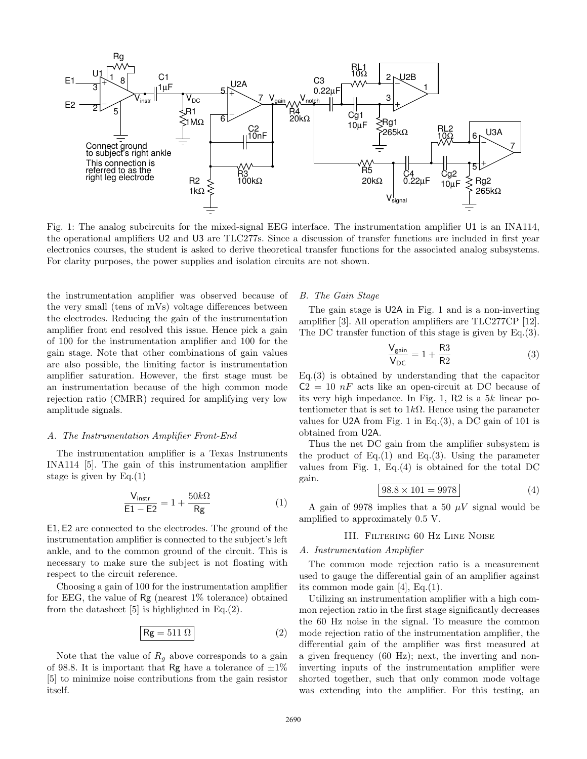

Fig. 1: The analog subcircuits for the mixed-signal EEG interface. The instrumentation amplifier U1 is an INA114, the operational amplifiers U2 and U3 are TLC277s. Since a discussion of transfer functions are included in first year electronics courses, the student is asked to derive theoretical transfer functions for the associated analog subsystems. For clarity purposes, the power supplies and isolation circuits are not shown.

the instrumentation amplifier was observed because of the very small (tens of mVs) voltage differences between the electrodes. Reducing the gain of the instrumentation amplifier front end resolved this issue. Hence pick a gain of 100 for the instrumentation amplifier and 100 for the gain stage. Note that other combinations of gain values are also possible, the limiting factor is instrumentation amplifier saturation. However, the first stage must be an instrumentation because of the high common mode rejection ratio (CMRR) required for amplifying very low amplitude signals.

## A. The Instrumentation Amplifier Front-End

The instrumentation amplifier is a Texas Instruments INA114 [5]. The gain of this instrumentation amplifier stage is given by  $Eq.(1)$ 

$$
\frac{\mathsf{V}_{\text{instr}}}{\mathsf{E1} - \mathsf{E2}} = 1 + \frac{50k\Omega}{\mathsf{Rg}}\tag{1}
$$

E1, E2 are connected to the electrodes. The ground of the instrumentation amplifier is connected to the subject's left ankle, and to the common ground of the circuit. This is necessary to make sure the subject is not floating with respect to the circuit reference.

Choosing a gain of 100 for the instrumentation amplifier for EEG, the value of Rg (nearest 1% tolerance) obtained from the datasheet [5] is highlighted in Eq.(2).

$$
Rg = 511 \Omega
$$
 (2)

Note that the value of  $R<sub>g</sub>$  above corresponds to a gain of 98.8. It is important that Rg have a tolerance of  $\pm 1\%$ [5] to minimize noise contributions from the gain resistor itself.

# B. The Gain Stage

The gain stage is U2A in Fig. 1 and is a non-inverting amplifier [3]. All operation amplifiers are TLC277CP [12]. The DC transfer function of this stage is given by Eq.(3).

$$
\frac{V_{\text{gain}}}{V_{\text{DC}}} = 1 + \frac{\text{R3}}{\text{R2}} \tag{3}
$$

Eq.(3) is obtained by understanding that the capacitor  $C2 = 10 nF$  acts like an open-circuit at DC because of its very high impedance. In Fig. 1, R2 is a 5k linear potentiometer that is set to  $1k\Omega$ . Hence using the parameter values for U2A from Fig. 1 in Eq.  $(3)$ , a DC gain of 101 is obtained from U2A.

Thus the net DC gain from the amplifier subsystem is the product of  $Eq.(1)$  and  $Eq.(3)$ . Using the parameter values from Fig. 1, Eq.(4) is obtained for the total DC gain.

$$
98.8 \times 101 = 9978
$$
 (4)

A gain of 9978 implies that a 50  $\mu$ V signal would be amplified to approximately 0.5 V.

# III. Filtering 60 Hz Line Noise

### A. Instrumentation Amplifier

The common mode rejection ratio is a measurement used to gauge the differential gain of an amplifier against its common mode gain [4], Eq.(1).

Utilizing an instrumentation amplifier with a high common rejection ratio in the first stage significantly decreases the 60 Hz noise in the signal. To measure the common mode rejection ratio of the instrumentation amplifier, the differential gain of the amplifier was first measured at a given frequency (60 Hz); next, the inverting and noninverting inputs of the instrumentation amplifier were shorted together, such that only common mode voltage was extending into the amplifier. For this testing, an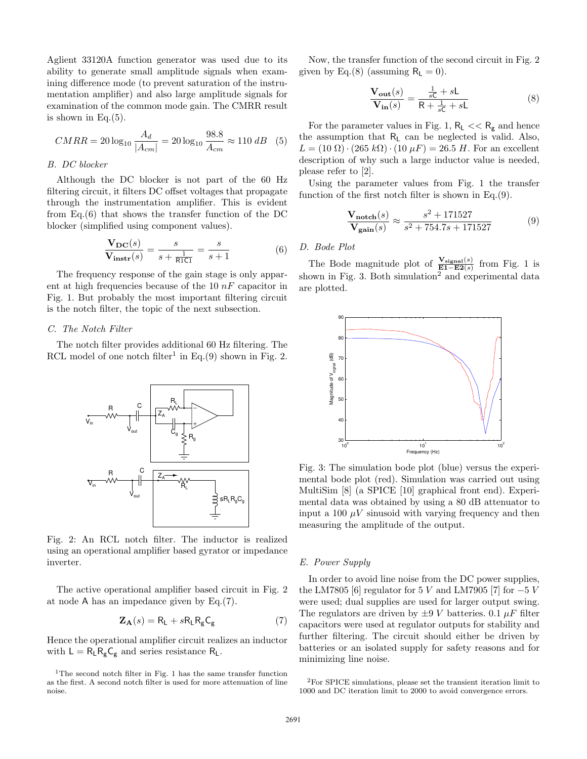Aglient 33120A function generator was used due to its ability to generate small amplitude signals when examining difference mode (to prevent saturation of the instrumentation amplifier) and also large amplitude signals for examination of the common mode gain. The CMRR result is shown in Eq. $(5)$ .

$$
CMRR = 20 \log_{10} \frac{A_d}{|A_{cm}|} = 20 \log_{10} \frac{98.8}{A_{cm}} \approx 110 \, dB \quad (5)
$$

## B. DC blocker

Although the DC blocker is not part of the 60 Hz filtering circuit, it filters DC offset voltages that propagate through the instrumentation amplifier. This is evident from Eq.(6) that shows the transfer function of the DC blocker (simplified using component values).

$$
\frac{\mathbf{V}_{\mathbf{DC}}(s)}{\mathbf{V}_{\mathbf{instr}}(s)} = \frac{s}{s + \frac{1}{\mathsf{RICI}}} = \frac{s}{s + 1}
$$
(6)

The frequency response of the gain stage is only apparent at high frequencies because of the  $10 nF$  capacitor in Fig. 1. But probably the most important filtering circuit is the notch filter, the topic of the next subsection.

# C. The Notch Filter

The notch filter provides additional 60 Hz filtering. The RCL model of one notch filter<sup>1</sup> in Eq.(9) shown in Fig. 2.



Fig. 2: An RCL notch filter. The inductor is realized using an operational amplifier based gyrator or impedance inverter.

The active operational amplifier based circuit in Fig. 2 at node A has an impedance given by Eq.(7).

$$
\mathbf{Z}_{\mathbf{A}}(s) = \mathbf{R}_{\mathsf{L}} + s\mathbf{R}_{\mathsf{L}}\mathbf{R}_{\mathsf{g}}\mathbf{C}_{\mathsf{g}} \tag{7}
$$

Hence the operational amplifier circuit realizes an inductor with  $L = R_L R_g C_g$  and series resistance  $R_L$ .

Now, the transfer function of the second circuit in Fig. 2 given by Eq.(8) (assuming  $R_L = 0$ ).

$$
\frac{\mathbf{V_{out}}(s)}{\mathbf{V_{in}}(s)} = \frac{\frac{1}{sC} + sL}{R + \frac{1}{sC} + sL}
$$
(8)

For the parameter values in Fig. 1,  $R_L \ll R_g$  and hence the assumption that  $R_L$  can be neglected is valid. Also,  $L = (10 \Omega) \cdot (265 \text{ k}\Omega) \cdot (10 \mu F) = 26.5 \text{ H}$ . For an excellent description of why such a large inductor value is needed, please refer to [2].

Using the parameter values from Fig. 1 the transfer function of the first notch filter is shown in Eq.(9).

$$
\frac{\mathbf{V}_{\text{notch}}(s)}{\mathbf{V}_{\text{gain}}(s)} \approx \frac{s^2 + 171527}{s^2 + 754.7s + 171527}
$$
(9)

# D. Bode Plot

The Bode magnitude plot of  $\frac{\mathbf{V}_{\text{signal}}(s)}{\mathbf{E1}-\mathbf{E2}(s)}$  from Fig. 1 is shown in Fig. 3. Both simulation<sup>2</sup> and experimental data are plotted.



Fig. 3: The simulation bode plot (blue) versus the experimental bode plot (red). Simulation was carried out using MultiSim [8] (a SPICE [10] graphical front end). Experimental data was obtained by using a 80 dB attenuator to input a 100  $\mu$ V sinusoid with varying frequency and then measuring the amplitude of the output.

## E. Power Supply

In order to avoid line noise from the DC power supplies, the LM7805 [6] regulator for 5 V and LM7905 [7] for  $-5$  V were used; dual supplies are used for larger output swing. The regulators are driven by  $\pm 9$  V batteries. 0.1  $\mu$ F filter capacitors were used at regulator outputs for stability and further filtering. The circuit should either be driven by batteries or an isolated supply for safety reasons and for minimizing line noise.

 $1$ <sup>1</sup>The second notch filter in Fig. 1 has the same transfer function as the first. A second notch filter is used for more attenuation of line noise.

<sup>2</sup>For SPICE simulations, please set the transient iteration limit to 1000 and DC iteration limit to 2000 to avoid convergence errors.